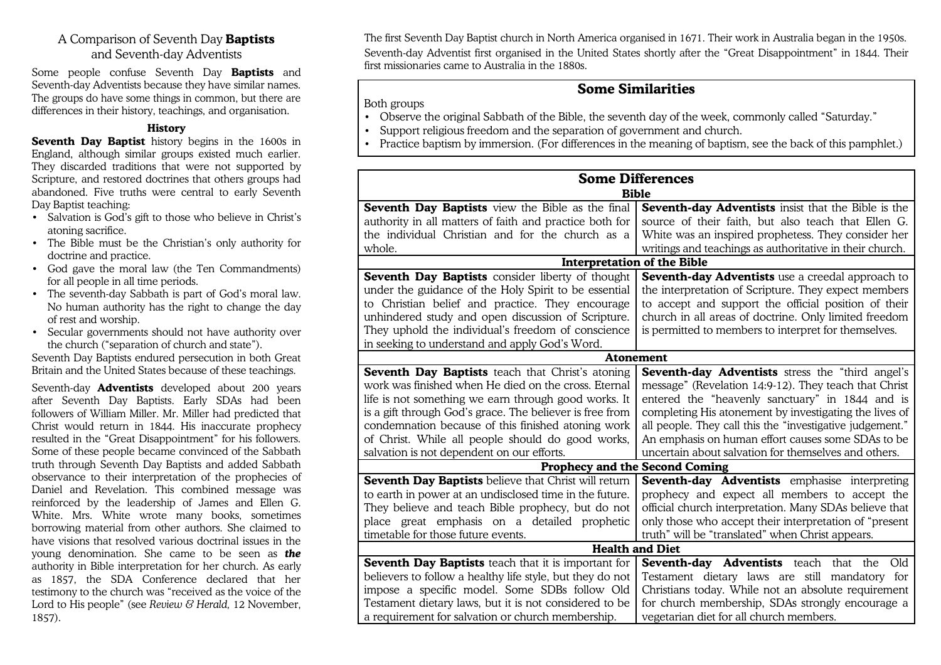## A Comparison of Seventh Day **Baptists** and Seventh-day Adventists

Some people confuse Seventh Day **Baptists** and Seventh-day Adventists because they have similar names. The groups do have some things in common, but there are differences in their history, teachings, and organisation.

## **History**

**Seventh Day Baptist** history begins in the 1600s in England, although similar groups existed much earlier. They discarded traditions that were not supported by Scripture, and restored doctrines that others groups had abandoned. Five truths were central to early Seventh Day Baptist teaching:

- Salvation is God's gift to those who believe in Christ's atoning sacrifice.
- The Bible must be the Christian's only authority for doctrine and practice.
- God gave the moral law (the Ten Commandments) for all people in all time periods.
- The seventh-day Sabbath is part of God's moral law. No human authority has the right to change the day of rest and worship.
- Secular governments should not have authority over the church ("separation of church and state").

Seventh Day Baptists endured persecution in both Great Britain and the United States because of these teachings.

Seventh-day **Adventists** developed about 200 years after Seventh Day Baptists. Early SDAs had been followers of William Miller. Mr. Miller had predicted that Christ would return in 1844. His inaccurate prophecy resulted in the "Great Disappointment" for his followers. Some of these people became convinced of the Sabbath truth through Seventh Day Baptists and added Sabbath observance to their interpretation of the prophecies of Daniel and Revelation. This combined message was reinforced by the leadership of James and Ellen G. White. Mrs. White wrote many books, sometimes borrowing material from other authors. She claimed to have visions that resolved various doctrinal issues in the young denomination. She came to be seen as *the* authority in Bible interpretation for her church. As early as 1857, the SDA Conference declared that her testimony to the church was "received as the voice of the Lord to His people" (see *Review & Herald,* 12 November, 1857).

The first Seventh Day Baptist church in North America organised in 1671. Their work in Australia began in the 1950s. Seventh-day Adventist first organised in the United States shortly after the "Great Disappointment" in 1844. Their first missionaries came to Australia in the 1880s.

## **Some Similarities**

Both groups

- Observe the original Sabbath of the Bible, the seventh day of the week, commonly called "Saturday."
- Support religious freedom and the separation of government and church.
- Practice baptism by immersion. (For differences in the meaning of baptism, see the back of this pamphlet.)

| <b>Some Differences</b>                                   |                                                           |
|-----------------------------------------------------------|-----------------------------------------------------------|
| <b>Bible</b>                                              |                                                           |
| Seventh Day Baptists view the Bible as the final          | Seventh-day Adventists insist that the Bible is the       |
| authority in all matters of faith and practice both for   | source of their faith, but also teach that Ellen G.       |
| the individual Christian and for the church as a          | White was an inspired prophetess. They consider her       |
| whole.                                                    | writings and teachings as authoritative in their church.  |
| <b>Interpretation of the Bible</b>                        |                                                           |
| Seventh Day Baptists consider liberty of thought          | Seventh-day Adventists use a creedal approach to          |
| under the guidance of the Holy Spirit to be essential     | the interpretation of Scripture. They expect members      |
| to Christian belief and practice. They encourage          | to accept and support the official position of their      |
| unhindered study and open discussion of Scripture.        | church in all areas of doctrine. Only limited freedom     |
| They uphold the individual's freedom of conscience        | is permitted to members to interpret for themselves.      |
| in seeking to understand and apply God's Word.            |                                                           |
| <b>Atonement</b>                                          |                                                           |
| Seventh Day Baptists teach that Christ's atoning          | Seventh-day Adventists stress the "third angel's          |
| work was finished when He died on the cross. Eternal      | message" (Revelation 14:9-12). They teach that Christ     |
| life is not something we earn through good works. It      | entered the "heavenly sanctuary" in 1844 and is           |
| is a gift through God's grace. The believer is free from  | completing His atonement by investigating the lives of    |
| condemnation because of this finished atoning work        | all people. They call this the "investigative judgement." |
| of Christ. While all people should do good works,         | An emphasis on human effort causes some SDAs to be        |
| salvation is not dependent on our efforts.                | uncertain about salvation for themselves and others.      |
| <b>Prophecy and the Second Coming</b>                     |                                                           |
| Seventh Day Baptists believe that Christ will return      | Seventh-day Adventists emphasise interpreting             |
| to earth in power at an undisclosed time in the future.   | prophecy and expect all members to accept the             |
| They believe and teach Bible prophecy, but do not         | official church interpretation. Many SDAs believe that    |
| place great emphasis on a detailed prophetic              | only those who accept their interpretation of "present    |
| timetable for those future events.                        | truth" will be "translated" when Christ appears.          |
| <b>Health and Diet</b>                                    |                                                           |
| Seventh Day Baptists teach that it is important for       | <b>Seventh-day Adventists</b> teach<br>Old<br>that the    |
| believers to follow a healthy life style, but they do not | Testament dietary laws are still mandatory for            |
| impose a specific model. Some SDBs follow Old             | Christians today. While not an absolute requirement       |
| Testament dietary laws, but it is not considered to be    | for church membership, SDAs strongly encourage a          |
| a requirement for salvation or church membership.         | vegetarian diet for all church members.                   |